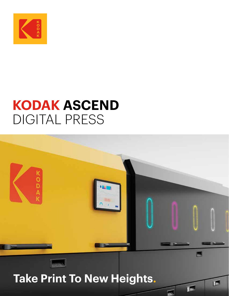

# **KODAK ASCEND** DIGITAL PRESS



 $\mathbb{L}$ 

 $\mathbf{P}$ 

**Take Print To New Heights.**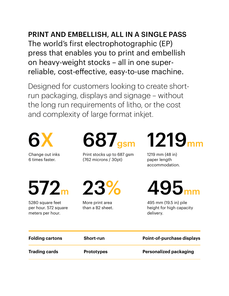PRINT AND EMBELLISH, ALL IN A SINGLE PASS The world's first electrophotographic (EP) press that enables you to print and embellish on heavy-weight stocks – all in one superreliable, cost-effective, easy-to-use machine.

Designed for customers looking to create shortrun packaging, displays and signage – without the long run requirements of litho, or the cost and complexity of large format inkjet.



Change out inks 6 times faster.

 $572<sub>m</sub>$  23%

5280 square feet per hour. 572 square meters per hour.

 $687$ <sub>asm</sub> 1219<sub>n</sub>

Print stocks up to 687 gsm (762 microns / 30pt)

More print area than a B2 sheet.

1219 mm (48 in) paper length accommodation.



495 mm (19.5 in) pile height for high capacity delivery.

| <b>Folding cartons</b> | <b>Short-run</b>  | <b>Point-of-purchase displays</b> |
|------------------------|-------------------|-----------------------------------|
| <b>Trading cards</b>   | <b>Prototypes</b> | <b>Personalized packaging</b>     |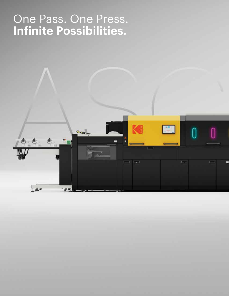## One Pass. One Press. **Infinite Possibilities.**

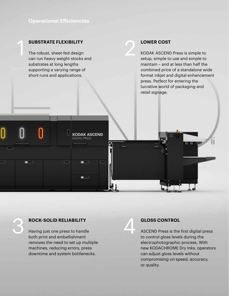## **Operational Efficiencies**

### **SUBSTRATE FLEXIBILITY**

1

The robust, sheet-fed design can run heavy weight stocks and substrates at long lengths supporting a varying range of short-runs and applications.

**KODAK ASCEND** 

**LOWER COST**<br>KODAK ASCEND KODAK ASCEND Press is simple to setup, simple to use and simple to maintain – and at less than half the combined price of a standalone wide format inkjet and digital enhancement press. Perfect for entering the lucrative world of packaging and retail signage.

**ROCK-SOLID RELIABILITY**<br>Having just one press to hand<br>hath print and embellishment Having just one press to handle both print and embellishment removes the need to set up multiple machines, reducing errors, press downtime and system bottlenecks.

**GLOSS CONTROL**<br>ASCEND Press is the ASCEND Press is the first digital press to control gloss levels during the electrophotographic process. With new KODACHROME Dry Inks, operators can adjust gloss levels without compromising on speed, accuracy, or quality.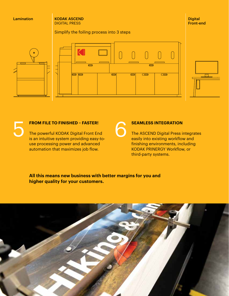### Lamination

KODAK ASCEND DIGITAL PRESS

Simplify the foiling process into 3 steps







**Digital** Front-end



**FROM FILE TO FINISHED – FASTER!**<br>The powerful KODAK Digital Front En<br>is an intuitive system providing easy-The powerful KODAK Digital Front End is an intuitive system providing easy-touse processing power and advanced automation that maximizes job flow.

# **SEAMLESS INTEGRATION<br>
The ASCEND Digital Press in easily into existing workflors**

The ASCEND Digital Press integrates easily into existing workflow and finishing environments, including KODAK PRINERGY Workflow, or third-party systems.

### **All this means new business with better margins for you and higher quality for your customers.**

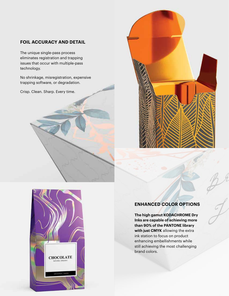## **FOIL ACCURACY AND DETAIL**

The unique single-pass process eliminates registration and trapping issues that occur with multiple-pass technology.

No shrinkage, misregistration, expensive trapping software, or degradation.

Crisp. Clean. Sharp. Every time.





## **ENHANCED COLOR OPTIONS**

**The high gamut KODACHROME Dry Inks are capable of achieving more than 90% of the PANTONE library with just CMYK** allowing the extra ink station to focus on product enhancing embellishments while still achieving the most challenging brand colors.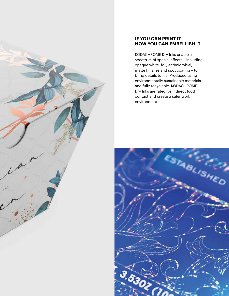### **IF YOU CAN PRINT IT, NOW YOU CAN EMBELLISH IT**

KODACHROME Dry Inks enable a spectrum of special effects – including opaque white, foil, antimicrobial, matte finishes and spot coating – to bring details to life. Produced using environmentally sustainable materials and fully recyclable, KODACHROME Dry Inks are rated for indirect food contact and create a safer work environment.



AND